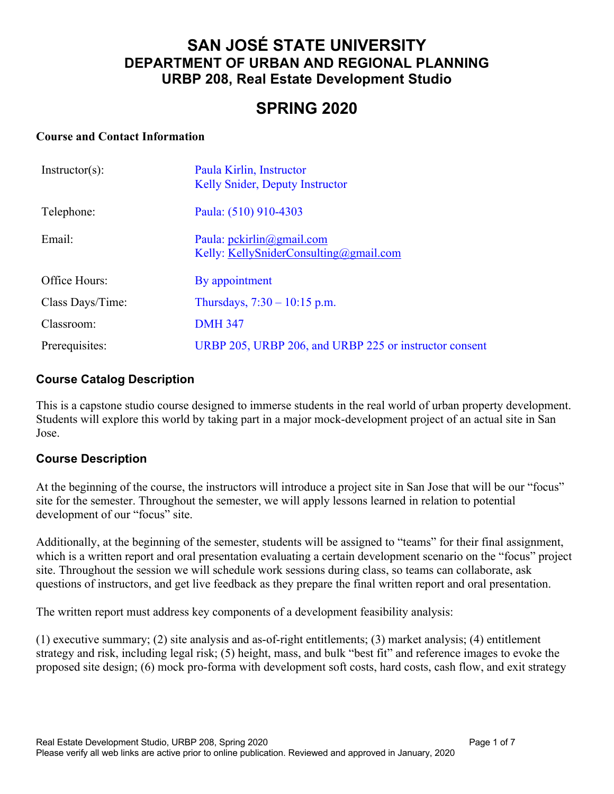## **SAN JOSÉ STATE UNIVERSITY DEPARTMENT OF URBAN AND REGIONAL PLANNING URBP 208, Real Estate Development Studio**

# **SPRING 2020**

#### **Course and Contact Information**

| $Instructor(s)$ : | Paula Kirlin, Instructor<br>Kelly Snider, Deputy Instructor                                   |
|-------------------|-----------------------------------------------------------------------------------------------|
| Telephone:        | Paula: (510) 910-4303                                                                         |
| Email:            | Paula: $\text{pckirlin}(\partial \text{gmail.com})$<br>Kelly: KellySniderConsulting@gmail.com |
| Office Hours:     | By appointment                                                                                |
| Class Days/Time:  | Thursdays, $7:30 - 10:15$ p.m.                                                                |
| Classroom:        | <b>DMH 347</b>                                                                                |
| Prerequisites:    | URBP 205, URBP 206, and URBP 225 or instructor consent                                        |

### **Course Catalog Description**

This is a capstone studio course designed to immerse students in the real world of urban property development. Students will explore this world by taking part in a major mock-development project of an actual site in San Jose.

#### **Course Description**

At the beginning of the course, the instructors will introduce a project site in San Jose that will be our "focus" site for the semester. Throughout the semester, we will apply lessons learned in relation to potential development of our "focus" site.

Additionally, at the beginning of the semester, students will be assigned to "teams" for their final assignment, which is a written report and oral presentation evaluating a certain development scenario on the "focus" project site. Throughout the session we will schedule work sessions during class, so teams can collaborate, ask questions of instructors, and get live feedback as they prepare the final written report and oral presentation.

The written report must address key components of a development feasibility analysis:

(1) executive summary; (2) site analysis and as-of-right entitlements; (3) market analysis; (4) entitlement strategy and risk, including legal risk; (5) height, mass, and bulk "best fit" and reference images to evoke the proposed site design; (6) mock pro-forma with development soft costs, hard costs, cash flow, and exit strategy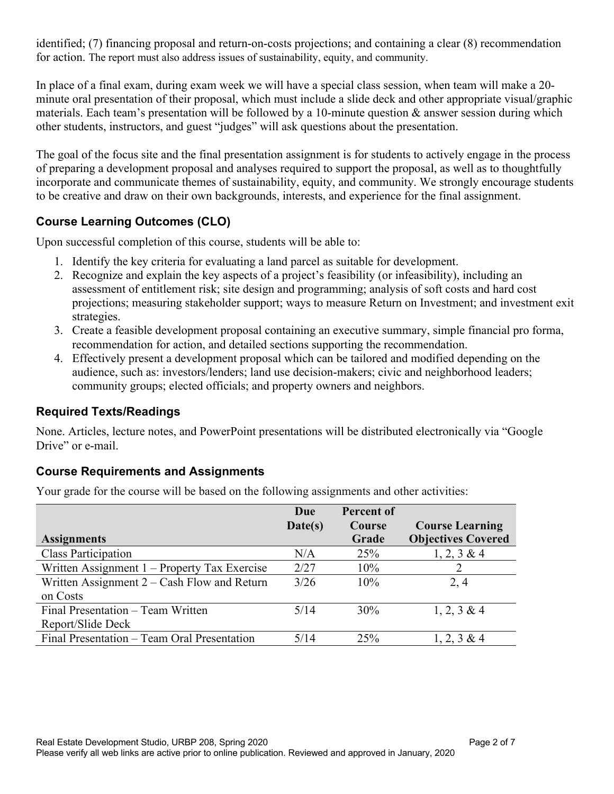identified; (7) financing proposal and return-on-costs projections; and containing a clear (8) recommendation for action. The report must also address issues of sustainability, equity, and community.

In place of a final exam, during exam week we will have a special class session, when team will make a 20 minute oral presentation of their proposal, which must include a slide deck and other appropriate visual/graphic materials. Each team's presentation will be followed by a 10-minute question  $\&$  answer session during which other students, instructors, and guest "judges" will ask questions about the presentation.

The goal of the focus site and the final presentation assignment is for students to actively engage in the process of preparing a development proposal and analyses required to support the proposal, as well as to thoughtfully incorporate and communicate themes of sustainability, equity, and community. We strongly encourage students to be creative and draw on their own backgrounds, interests, and experience for the final assignment.

## **Course Learning Outcomes (CLO)**

Upon successful completion of this course, students will be able to:

- 1. Identify the key criteria for evaluating a land parcel as suitable for development.
- 2. Recognize and explain the key aspects of a project's feasibility (or infeasibility), including an assessment of entitlement risk; site design and programming; analysis of soft costs and hard cost projections; measuring stakeholder support; ways to measure Return on Investment; and investment exit strategies.
- 3. Create a feasible development proposal containing an executive summary, simple financial pro forma, recommendation for action, and detailed sections supporting the recommendation.
- 4. Effectively present a development proposal which can be tailored and modified depending on the audience, such as: investors/lenders; land use decision-makers; civic and neighborhood leaders; community groups; elected officials; and property owners and neighbors.

## **Required Texts/Readings**

None. Articles, lecture notes, and PowerPoint presentations will be distributed electronically via "Google Drive" or e-mail.

## **Course Requirements and Assignments**

Your grade for the course will be based on the following assignments and other activities:

| <b>Assignments</b>                             | Due<br>Date(s) | <b>Percent of</b><br>Course<br>Grade | <b>Course Learning</b><br><b>Objectives Covered</b> |
|------------------------------------------------|----------------|--------------------------------------|-----------------------------------------------------|
| <b>Class Participation</b>                     | N/A            | 25%                                  | $1, 2, 3 \& 4$                                      |
| Written Assignment $1$ – Property Tax Exercise | 2/27           | 10%                                  |                                                     |
| Written Assignment $2 - Cash$ Flow and Return  | 3/26           | 10%                                  | 2, 4                                                |
| on Costs                                       |                |                                      |                                                     |
| Final Presentation – Team Written              | 5/14           | 30%                                  | $1, 2, 3 \& 4$                                      |
| Report/Slide Deck                              |                |                                      |                                                     |
| Final Presentation – Team Oral Presentation    | 5/14           | 25%                                  | $1, 2, 3 \& 4$                                      |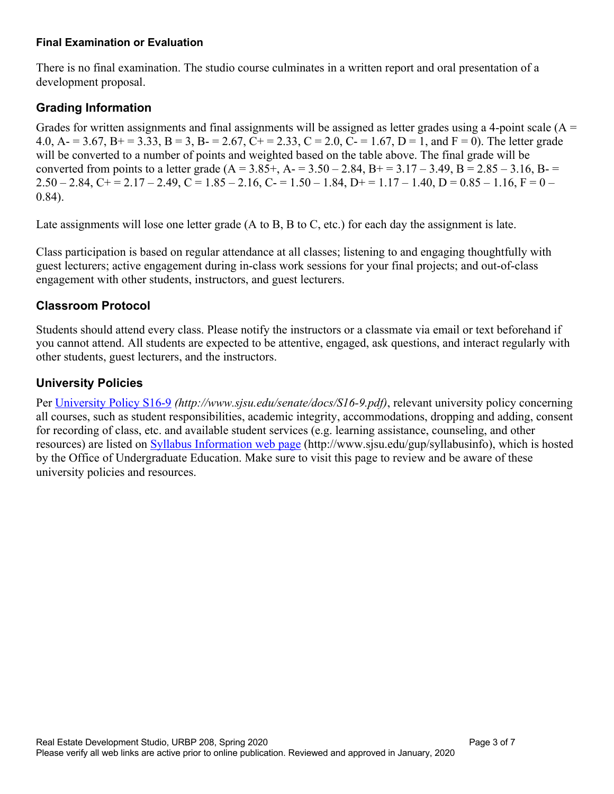#### **Final Examination or Evaluation**

There is no final examination. The studio course culminates in a written report and oral presentation of a development proposal.

## **Grading Information**

Grades for written assignments and final assignments will be assigned as letter grades using a 4-point scale  $(A =$ 4.0, A- = 3.67, B+ = 3.33, B = 3, B- = 2.67, C+ = 2.33, C = 2.0, C- = 1.67, D = 1, and F = 0). The letter grade will be converted to a number of points and weighted based on the table above. The final grade will be converted from points to a letter grade  $(A = 3.85+, A = 3.50 - 2.84, B = 3.17 - 3.49, B = 2.85 - 3.16, B = 5.6$  $2.50 - 2.84$ , C+ =  $2.17 - 2.49$ , C =  $1.85 - 2.16$ , C- =  $1.50 - 1.84$ , D+ =  $1.17 - 1.40$ , D =  $0.85 - 1.16$ , F =  $0 -$ 0.84).

Late assignments will lose one letter grade (A to B, B to C, etc.) for each day the assignment is late.

Class participation is based on regular attendance at all classes; listening to and engaging thoughtfully with guest lecturers; active engagement during in-class work sessions for your final projects; and out-of-class engagement with other students, instructors, and guest lecturers.

## **Classroom Protocol**

Students should attend every class. Please notify the instructors or a classmate via email or text beforehand if you cannot attend. All students are expected to be attentive, engaged, ask questions, and interact regularly with other students, guest lecturers, and the instructors.

## **University Policies**

Per University Policy S16-9 *(http://www.sjsu.edu/senate/docs/S16-9.pdf)*, relevant university policy concerning all courses, such as student responsibilities, academic integrity, accommodations, dropping and adding, consent for recording of class, etc. and available student services (e.g. learning assistance, counseling, and other resources) are listed on Syllabus Information web page (http://www.sjsu.edu/gup/syllabusinfo), which is hosted by the Office of Undergraduate Education. Make sure to visit this page to review and be aware of these university policies and resources.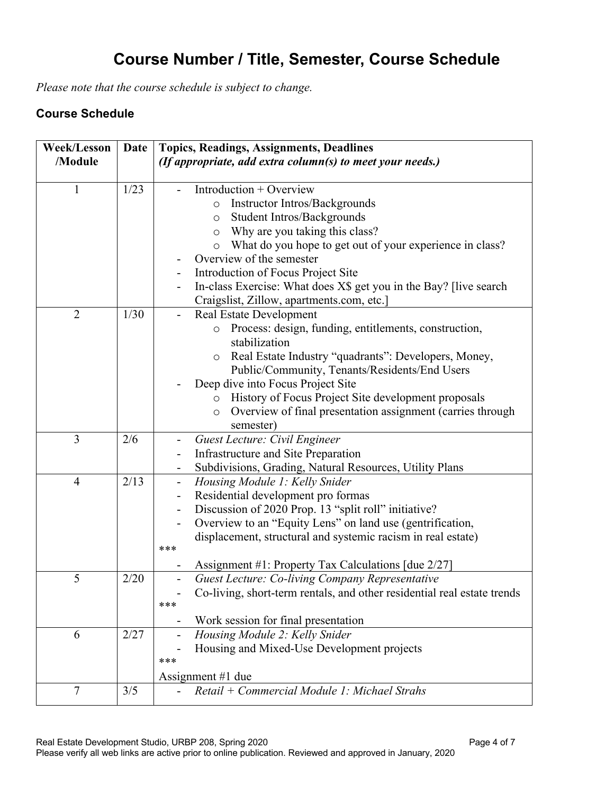# **Course Number / Title, Semester, Course Schedule**

*Please note that the course schedule is subject to change.*

## **Course Schedule**

| <b>Week/Lesson</b> | Date | <b>Topics, Readings, Assignments, Deadlines</b>                                  |
|--------------------|------|----------------------------------------------------------------------------------|
| /Module            |      | (If appropriate, add extra column(s) to meet your needs.)                        |
|                    |      |                                                                                  |
| 1                  | 1/23 | Introduction + Overview                                                          |
|                    |      | Instructor Intros/Backgrounds<br>$\circ$                                         |
|                    |      | Student Intros/Backgrounds<br>$\circ$                                            |
|                    |      | Why are you taking this class?<br>$\circ$                                        |
|                    |      | What do you hope to get out of your experience in class?<br>$\circ$              |
|                    |      | Overview of the semester                                                         |
|                    |      | Introduction of Focus Project Site<br>۰                                          |
|                    |      | In-class Exercise: What does X\$ get you in the Bay? [live search]               |
|                    |      | Craigslist, Zillow, apartments.com, etc.]                                        |
| $\overline{2}$     | 1/30 | <b>Real Estate Development</b>                                                   |
|                    |      | Process: design, funding, entitlements, construction,<br>$\circ$                 |
|                    |      | stabilization                                                                    |
|                    |      | o Real Estate Industry "quadrants": Developers, Money,                           |
|                    |      | Public/Community, Tenants/Residents/End Users                                    |
|                    |      | Deep dive into Focus Project Site                                                |
|                    |      | History of Focus Project Site development proposals<br>$\circ$                   |
|                    |      | Overview of final presentation assignment (carries through<br>$\circ$            |
|                    |      | semester)                                                                        |
| 3                  | 2/6  | Guest Lecture: Civil Engineer                                                    |
|                    |      | Infrastructure and Site Preparation                                              |
|                    |      | Subdivisions, Grading, Natural Resources, Utility Plans                          |
| $\overline{4}$     | 2/13 | Housing Module 1: Kelly Snider<br>$\overline{\phantom{a}}$                       |
|                    |      | Residential development pro formas<br>$\overline{\phantom{a}}$                   |
|                    |      | Discussion of 2020 Prop. 13 "split roll" initiative?<br>$\overline{\phantom{0}}$ |
|                    |      | Overview to an "Equity Lens" on land use (gentrification,                        |
|                    |      | displacement, structural and systemic racism in real estate)                     |
|                    |      | ***                                                                              |
|                    |      | Assignment #1: Property Tax Calculations [due 2/27]                              |
| 5                  | 2/20 | Guest Lecture: Co-living Company Representative                                  |
|                    |      | Co-living, short-term rentals, and other residential real estate trends          |
|                    |      | ***                                                                              |
|                    |      | Work session for final presentation                                              |
| 6                  | 2/27 | Housing Module 2: Kelly Snider                                                   |
|                    |      | Housing and Mixed-Use Development projects                                       |
|                    |      | ***                                                                              |
|                    |      | Assignment #1 due                                                                |
| $\overline{7}$     | 3/5  | Retail + Commercial Module 1: Michael Strahs                                     |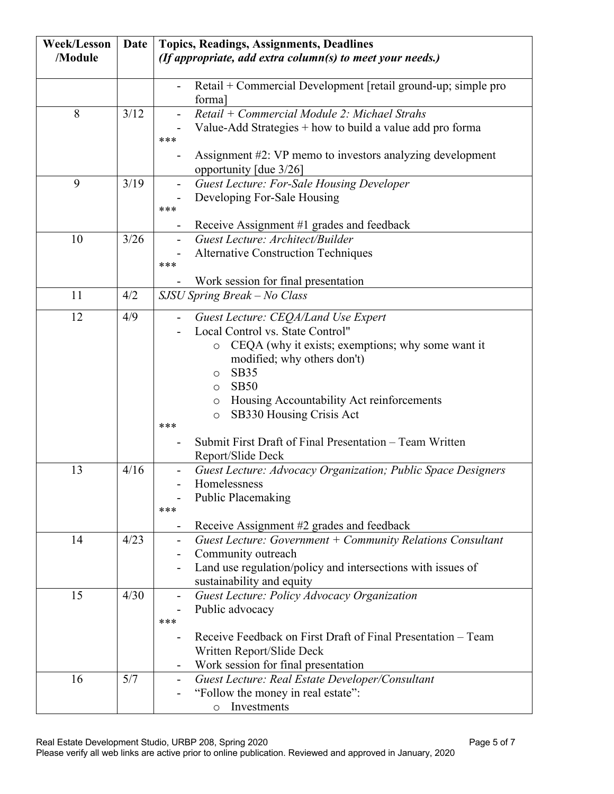| <b>Week/Lesson</b> | Date         | <b>Topics, Readings, Assignments, Deadlines</b>                                                                                                                                                                                                                                                                                                                                              |
|--------------------|--------------|----------------------------------------------------------------------------------------------------------------------------------------------------------------------------------------------------------------------------------------------------------------------------------------------------------------------------------------------------------------------------------------------|
| /Module            |              | (If appropriate, add extra column(s) to meet your needs.)                                                                                                                                                                                                                                                                                                                                    |
|                    |              | Retail + Commercial Development [retail ground-up; simple pro<br>$\overline{\phantom{0}}$<br>forma]                                                                                                                                                                                                                                                                                          |
| 8                  | 3/12         | Retail + Commercial Module 2: Michael Strahs<br>Value-Add Strategies $+$ how to build a value add pro forma<br>***<br>Assignment #2: VP memo to investors analyzing development<br>-                                                                                                                                                                                                         |
| 9                  | 3/19         | opportunity [due 3/26]<br>Guest Lecture: For-Sale Housing Developer<br>Developing For-Sale Housing<br>***<br>Receive Assignment #1 grades and feedback                                                                                                                                                                                                                                       |
| 10                 | 3/26         | Guest Lecture: Architect/Builder<br>$\overline{\phantom{0}}$<br><b>Alternative Construction Techniques</b><br>***<br>Work session for final presentation                                                                                                                                                                                                                                     |
| 11                 | 4/2          | SJSU Spring Break - No Class                                                                                                                                                                                                                                                                                                                                                                 |
| 12                 | 4/9          | Guest Lecture: CEQA/Land Use Expert<br>Local Control vs. State Control"<br>CEQA (why it exists; exemptions; why some want it<br>$\circ$<br>modified; why others don't)<br>SB35<br>$\circ$<br>SB50<br>$\circ$<br>Housing Accountability Act reinforcements<br>$\circ$<br>SB330 Housing Crisis Act<br>O<br>***<br>Submit First Draft of Final Presentation – Team Written<br>Report/Slide Deck |
| 13<br>14           | 4/16<br>4/23 | Guest Lecture: Advocacy Organization; Public Space Designers<br>Homelessness<br><b>Public Placemaking</b><br>***<br>Receive Assignment #2 grades and feedback<br>Guest Lecture: Government $+$ Community Relations Consultant<br>-                                                                                                                                                           |
|                    |              | Community outreach<br>-<br>Land use regulation/policy and intersections with issues of<br>sustainability and equity                                                                                                                                                                                                                                                                          |
| 15                 | 4/30         | Guest Lecture: Policy Advocacy Organization<br>$\overline{\phantom{0}}$<br>Public advocacy<br>***<br>Receive Feedback on First Draft of Final Presentation – Team<br>$\overline{\phantom{0}}$<br>Written Report/Slide Deck<br>Work session for final presentation                                                                                                                            |
| 16                 | 5/7          | Guest Lecture: Real Estate Developer/Consultant<br>-<br>"Follow the money in real estate":<br>Investments<br>$\circ$                                                                                                                                                                                                                                                                         |